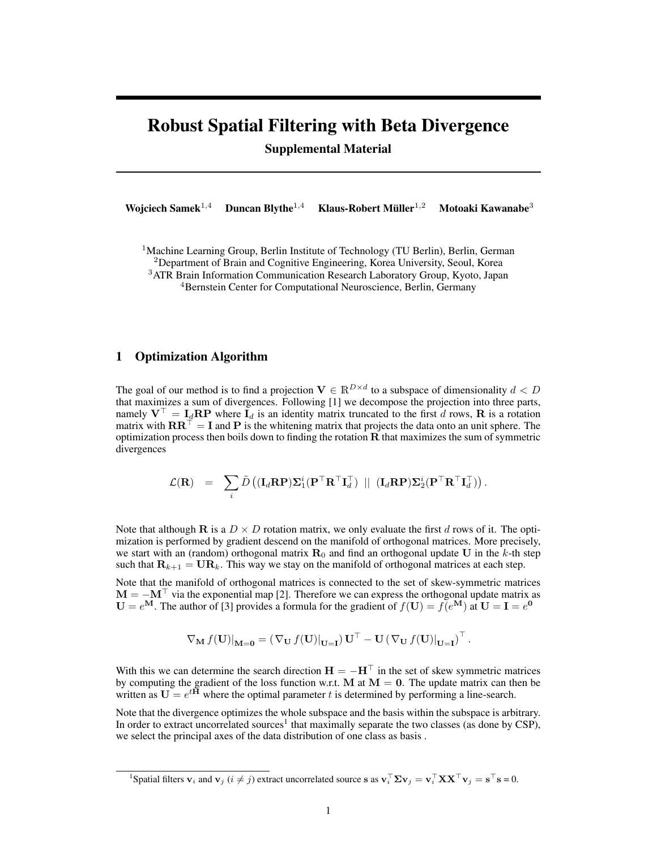## Robust Spatial Filtering with Beta Divergence Supplemental Material

Wojciech Samek<sup>1,4</sup> Duncan Blythe<sup>1,4</sup> Klaus-Robert Müller<sup>1,2</sup> Motoaki Kawanabe $3$ 

<sup>1</sup>Machine Learning Group, Berlin Institute of Technology (TU Berlin), Berlin, German

<sup>2</sup>Department of Brain and Cognitive Engineering, Korea University, Seoul, Korea

<sup>3</sup>ATR Brain Information Communication Research Laboratory Group, Kyoto, Japan

<sup>4</sup>Bernstein Center for Computational Neuroscience, Berlin, Germany

### 1 Optimization Algorithm

The goal of our method is to find a projection  $V \in \mathbb{R}^{D \times d}$  to a subspace of dimensionality  $d < D$ that maximizes a sum of divergences. Following [1] we decompose the projection into three parts, namely  $V^{\top} = I_d \mathbf{RP}$  where  $I_d$  is an identity matrix truncated to the first d rows, R is a rotation matrix with  $\mathbf{R}\mathbf{R}^{\top} = \mathbf{I}$  and P is the whitening matrix that projects the data onto an unit sphere. The optimization process then boils down to finding the rotation  **that maximizes the sum of symmetric** divergences

$$
\mathcal{L}(\mathbf{R}) \quad = \quad \sum_i \tilde{D} \left( (\mathbf{I}_d \mathbf{R} \mathbf{P}) \mathbf{\Sigma}_1^i (\mathbf{P}^\top \mathbf{R}^\top \mathbf{I}_d^\top) \ \parallel \ (\mathbf{I}_d \mathbf{R} \mathbf{P}) \mathbf{\Sigma}_2^i (\mathbf{P}^\top \mathbf{R}^\top \mathbf{I}_d^\top) \right).
$$

Note that although **R** is a  $D \times D$  rotation matrix, we only evaluate the first d rows of it. The optimization is performed by gradient descend on the manifold of orthogonal matrices. More precisely, we start with an (random) orthogonal matrix  $\mathbf{R}_0$  and find an orthogonal update U in the k-th step such that  $\mathbf{R}_{k+1} = \mathbf{U} \mathbf{R}_k$ . This way we stay on the manifold of orthogonal matrices at each step.

Note that the manifold of orthogonal matrices is connected to the set of skew-symmetric matrices  $M = -M^{\top}$  via the exponential map [2]. Therefore we can express the orthogonal update matrix as  $U = e^{M}$ . The author of [3] provides a formula for the gradient of  $f(U) = \overline{f}(e^{M})$  at  $U = I = e^{0}$ 

$$
\nabla_{\mathbf{M}} f(\mathbf{U})|_{\mathbf{M}=\mathbf{0}} = \left( \nabla_{\mathbf{U}} f(\mathbf{U})|_{\mathbf{U}=\mathbf{I}} \right) \mathbf{U}^\top - \mathbf{U} \left( \nabla_{\mathbf{U}} f(\mathbf{U})|_{\mathbf{U}=\mathbf{I}} \right)^\top.
$$

With this we can determine the search direction  $H = -H^{\top}$  in the set of skew symmetric matrices by computing the gradient of the loss function w.r.t. M at  $M = 0$ . The update matrix can then be written as  $U = e^{tH}$  where the optimal parameter t is determined by performing a line-search.

Note that the divergence optimizes the whole subspace and the basis within the subspace is arbitrary. In order to extract uncorrelated sources<sup>1</sup> that maximally separate the two classes (as done by CSP), we select the principal axes of the data distribution of one class as basis .

<sup>&</sup>lt;sup>1</sup>Spatial filters  $\mathbf{v}_i$  and  $\mathbf{v}_j$  ( $i \neq j$ ) extract uncorrelated source s as  $\mathbf{v}_i^{\top} \mathbf{\Sigma} \mathbf{v}_j = \mathbf{v}_i^{\top} \mathbf{X} \mathbf{X}^{\top} \mathbf{v}_j = \mathbf{s}^{\top} \mathbf{s} = 0$ .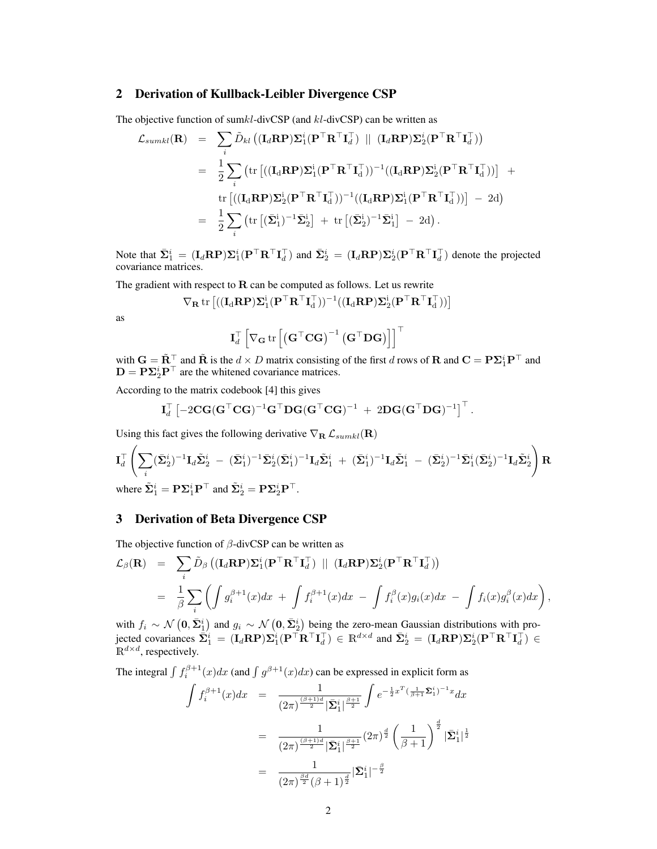#### 2 Derivation of Kullback-Leibler Divergence CSP

The objective function of sum $kl$ -divCSP (and  $kl$ -divCSP) can be written as

$$
\mathcal{L}_{sumkl}(\mathbf{R}) = \sum_{i} \tilde{D}_{kl} \left( (\mathbf{I}_{d} \mathbf{R} \mathbf{P}) \mathbf{\Sigma}_{1}^{i} (\mathbf{P}^{\top} \mathbf{R}^{\top} \mathbf{I}_{d}^{\top}) \ \|\ (\mathbf{I}_{d} \mathbf{R} \mathbf{P}) \mathbf{\Sigma}_{2}^{i} (\mathbf{P}^{\top} \mathbf{R}^{\top} \mathbf{I}_{d}^{\top}) \right)
$$
\n
$$
= \frac{1}{2} \sum_{i} (\text{tr} \left[ ((\mathbf{I}_{d} \mathbf{R} \mathbf{P}) \mathbf{\Sigma}_{1}^{i} (\mathbf{P}^{\top} \mathbf{R}^{\top} \mathbf{I}_{d}^{\top}) )^{-1} ((\mathbf{I}_{d} \mathbf{R} \mathbf{P}) \mathbf{\Sigma}_{2}^{i} (\mathbf{P}^{\top} \mathbf{R}^{\top} \mathbf{I}_{d}^{\top}) ) \right] + \text{tr} \left[ ((\mathbf{I}_{d} \mathbf{R} \mathbf{P}) \mathbf{\Sigma}_{2}^{i} (\mathbf{P}^{\top} \mathbf{R}^{\top} \mathbf{I}_{d}^{\top}) )^{-1} ((\mathbf{I}_{d} \mathbf{R} \mathbf{P}) \mathbf{\Sigma}_{1}^{i} (\mathbf{P}^{\top} \mathbf{R}^{\top} \mathbf{I}_{d}^{\top}) ) \right] - 2d \right)
$$
\n
$$
= \frac{1}{2} \sum_{i} (\text{tr} \left[ (\bar{\mathbf{\Sigma}}_{1}^{i})^{-1} \bar{\mathbf{\Sigma}}_{2}^{i} \right] + \text{tr} \left[ (\bar{\mathbf{\Sigma}}_{2}^{i})^{-1} \bar{\mathbf{\Sigma}}_{1}^{i} \right] - 2d \right).
$$

Note that  $\bar{\Sigma}_1^i = (\mathbf{I}_d \mathbf{R} \mathbf{P}) \Sigma_1^i (\mathbf{P}^\top \mathbf{R}^\top \mathbf{I}_d^\top)$  and  $\bar{\Sigma}_2^i = (\mathbf{I}_d \mathbf{R} \mathbf{P}) \Sigma_2^i (\mathbf{P}^\top \mathbf{R}^\top \mathbf{I}_d^\top)$  denote the projected covariance matrices.

The gradient with respect to  **can be computed as follows. Let us rewrite** 

$$
\nabla_{\mathbf{R}} \mathop{\mathrm{tr}}\nolimits \left[ ( (\mathbf{I}_d \mathbf{R} \mathbf{P}) \mathbf{\Sigma}_1^i (\mathbf{P}^\top \mathbf{R}^\top \mathbf{I}_d^\top))^{-1} ( (\mathbf{I}_d \mathbf{R} \mathbf{P}) \mathbf{\Sigma}_2^i (\mathbf{P}^\top \mathbf{R}^\top \mathbf{I}_d^\top)) \right]
$$

as

$$
\mathbf{I}_d^\top \left[ \nabla_{\mathbf{G}} \operatorname{tr}\left[\left(\mathbf{G}^\top \mathbf{C} \mathbf{G}\right)^{-1} \left(\mathbf{G}^\top \mathbf{D} \mathbf{G}\right)\right]\right]^\top
$$

with  $G = \tilde{R}^\top$  and  $\tilde{R}$  is the  $d \times D$  matrix consisting of the first d rows of **R** and  $C = P\Sigma_1^i P^\top$  and  $D = P\Sigma_2^i P^\top$  are the whitened covariance matrices.

According to the matrix codebook [4] this gives

$$
\mathbf{I}_d^\top \left[ -2 \mathbf{C} \mathbf{G} (\mathbf{G}^\top \mathbf{C} \mathbf{G})^{-1} \mathbf{G}^\top \mathbf{D} \mathbf{G} (\mathbf{G}^\top \mathbf{C} \mathbf{G})^{-1} + 2 \mathbf{D} \mathbf{G} (\mathbf{G}^\top \mathbf{D} \mathbf{G})^{-1} \right]^\top.
$$

Using this fact gives the following derivative  $\nabla_{\mathbf{R}} \mathcal{L}_{sumkl}(\mathbf{R})$ 

$$
\begin{split} & \mathbf{I}_d^\top \left( \sum_i (\bar{\mathbf{\Sigma}}^i_2)^{-1} \mathbf{I}_d \tilde{\mathbf{\Sigma}}^i_2 \ - \ (\bar{\mathbf{\Sigma}}^i_1)^{-1} \bar{\mathbf{\Sigma}}^i_2 (\bar{\mathbf{\Sigma}}^i_1)^{-1} \mathbf{I}_d \tilde{\mathbf{\Sigma}}^i_1 \ + \ (\bar{\mathbf{\Sigma}}^i_1)^{-1} \mathbf{I}_d \tilde{\mathbf{\Sigma}}^i_1 \ - \ (\bar{\mathbf{\Sigma}}^i_2)^{-1} \bar{\mathbf{\Sigma}}^i_1 (\bar{\mathbf{\Sigma}}^i_2)^{-1} \mathbf{I}_d \tilde{\mathbf{\Sigma}}^i_2 \right) \mathbf{R} \\ & \text{where } \tilde{\mathbf{\Sigma}}^i_1 = \mathbf{P} \mathbf{\Sigma}^i_1 \mathbf{P}^\top \text{ and } \tilde{\mathbf{\Sigma}}^i_2 = \mathbf{P} \mathbf{\Sigma}^i_2 \mathbf{P}^\top. \end{split}
$$

# 3 Derivation of Beta Divergence CSP

The objective function of  $\beta$ -divCSP can be written as

$$
\mathcal{L}_{\beta}(\mathbf{R}) = \sum_{i} \tilde{D}_{\beta} \left( (\mathbf{I}_{d} \mathbf{R} \mathbf{P}) \Sigma_{1}^{i} (\mathbf{P}^{\top} \mathbf{R}^{\top} \mathbf{I}_{d}^{\top}) \ \| (\mathbf{I}_{d} \mathbf{R} \mathbf{P}) \Sigma_{2}^{i} (\mathbf{P}^{\top} \mathbf{R}^{\top} \mathbf{I}_{d}^{\top}) \right)
$$
  
=  $\frac{1}{\beta} \sum_{i} \left( \int g_{i}^{\beta+1}(x) dx + \int f_{i}^{\beta+1}(x) dx - \int f_{i}^{\beta}(x) g_{i}(x) dx - \int f_{i}(x) g_{i}^{\beta}(x) dx \right),$ 

with  $f_i \sim \mathcal{N}(\mathbf{0}, \bar{\mathbf{\Sigma}}_1^i)$  and  $g_i \sim \mathcal{N}(\mathbf{0}, \bar{\mathbf{\Sigma}}_2^i)$  being the zero-mean Gaussian distributions with projected covariances  $\bar{\mathbf{\Sigma}}_1^i = (\mathbf{I}_d \mathbf{R} \mathbf{P}) \mathbf{\Sigma}_1^i (\mathbf{P}^\top \mathbf{R}^\top \mathbf{I}_d^\top) \in \mathbb{R}^{d \times d}$  and  $\bar{\mathbf{\Sigma}}_2^i = (\mathbf{I}_d \mathbf{R} \mathbf{P}) \mathbf{\Sigma}_2^i (\mathbf{P}^\top \mathbf{R}^\top \mathbf{I}_d^\top) \in$  $\mathbb{R}^{d \times d}$ , respectively.

The integral  $\int f_i^{\beta+1}(x)dx$  (and  $\int g^{\beta+1}(x)dx$ ) can be expressed in explicit form as

$$
\int f_i^{\beta+1}(x)dx = \frac{1}{(2\pi)^{\frac{(\beta+1)d}{2}}|\bar{\Sigma}_1^i|^{\frac{\beta+1}{2}}} \int e^{-\frac{1}{2}x^T(\frac{1}{\beta+1}\bar{\Sigma}_1^i)^{-1}x} dx
$$

$$
= \frac{1}{(2\pi)^{\frac{(\beta+1)d}{2}}|\bar{\Sigma}_1^i|^{\frac{\beta+1}{2}}} (2\pi)^{\frac{d}{2}} \left(\frac{1}{\beta+1}\right)^{\frac{d}{2}}|\bar{\Sigma}_1^i|^{\frac{1}{2}}
$$

$$
= \frac{1}{(2\pi)^{\frac{\beta d}{2}}(\beta+1)^{\frac{d}{2}}}|\bar{\Sigma}_1^i|^{-\frac{\beta}{2}}
$$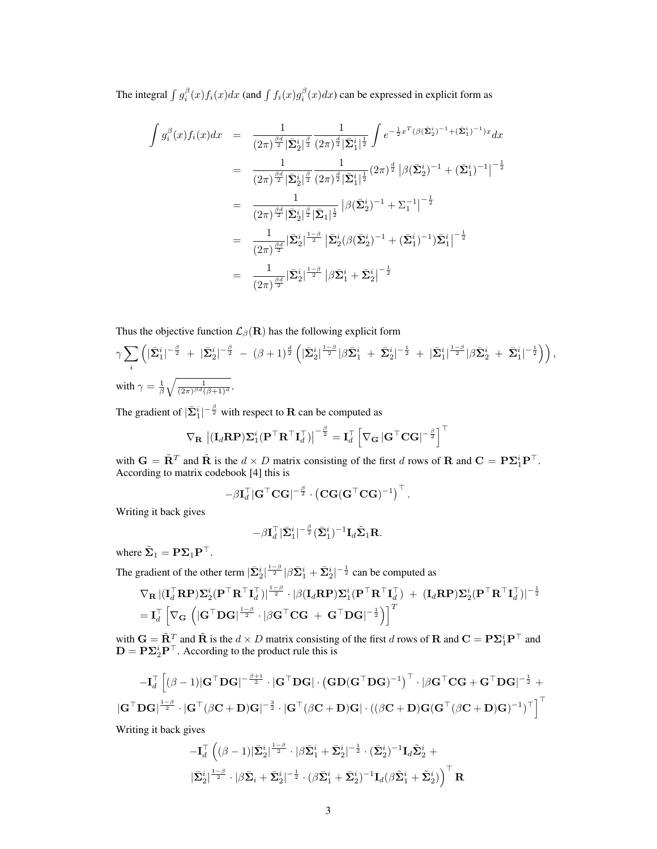The integral  $\int g_i^{\beta}(x)f_i(x)dx$  (and  $\int f_i(x)g_i^{\beta}(x)dx$ ) can be expressed in explicit form as

$$
\int g_i^{\beta}(x) f_i(x) dx = \frac{1}{(2\pi)^{\frac{\beta d}{2}} |\bar{\Sigma}_2^i|^{\frac{\beta}{2}}} \frac{1}{(2\pi)^{\frac{d}{2}} |\bar{\Sigma}_1^i|^{\frac{1}{2}}} \int e^{-\frac{1}{2}x^T (\beta (\bar{\Sigma}_2^i)^{-1} + (\bar{\Sigma}_1^i)^{-1})x} dx
$$
  
\n
$$
= \frac{1}{(2\pi)^{\frac{\beta d}{2}} |\bar{\Sigma}_2^i|^{\frac{\beta}{2}}} \frac{1}{(2\pi)^{\frac{d}{2}} |\bar{\Sigma}_1^i|^{\frac{1}{2}}} (2\pi)^{\frac{d}{2}} |\beta (\bar{\Sigma}_2^i)^{-1} + (\bar{\Sigma}_1^i)^{-1}|^{-\frac{1}{2}}
$$
  
\n
$$
= \frac{1}{(2\pi)^{\frac{\beta d}{2}} |\bar{\Sigma}_2^i|^{\frac{\beta}{2}} |\bar{\Sigma}_1|^{\frac{1}{2}}} |\beta (\bar{\Sigma}_2^i)^{-1} + \Sigma_1^{-1}|^{-\frac{1}{2}}
$$
  
\n
$$
= \frac{1}{(2\pi)^{\frac{\beta d}{2}}} |\bar{\Sigma}_2^i|^{\frac{1-\beta}{2}} |\bar{\Sigma}_2^i (\beta (\bar{\Sigma}_2^i)^{-1} + (\bar{\Sigma}_1^i)^{-1}) \bar{\Sigma}_1^i|^{-\frac{1}{2}}
$$
  
\n
$$
= \frac{1}{(2\pi)^{\frac{\beta d}{2}}} |\bar{\Sigma}_2^i|^{\frac{1-\beta}{2}} |\beta \bar{\Sigma}_1^i + \bar{\Sigma}_2^i|^{-\frac{1}{2}}
$$

Thus the objective function  $\mathcal{L}_{\beta}(\mathbf{R})$  has the following explicit form

$$
\gamma \sum_{i} \left( |\bar{\Sigma}_{1}^{i}|^{-\frac{\beta}{2}} + |\bar{\Sigma}_{2}^{i}|^{-\frac{\beta}{2}} - (\beta + 1)^{\frac{d}{2}} \left( |\bar{\Sigma}_{2}^{i}|^{\frac{1-\beta}{2}} |\beta \bar{\Sigma}_{1}^{i} + \bar{\Sigma}_{2}^{i}|^{-\frac{1}{2}} + |\bar{\Sigma}_{1}^{i}|^{\frac{1-\beta}{2}} |\beta \bar{\Sigma}_{2}^{i} + \bar{\Sigma}_{1}^{i}|^{-\frac{1}{2}} \right) \right),
$$
  
with  $\gamma = \frac{1}{\beta} \sqrt{\frac{1}{(2\pi)^{\beta d} (\beta + 1)^{d}}}$ .

The gradient of  $|\bar{\mathbf{\Sigma}}^i_1|^{-\frac{\beta}{2}}$  with respect to **R** can be computed as

$$
\nabla_{\mathbf{R}} \left| (\mathbf{I}_{d} \mathbf{R} \mathbf{P}) \mathbf{\Sigma}_{1}^{i} (\mathbf{P}^{\top} \mathbf{R}^{\top} \mathbf{I}_{d}^{\top}) \right|^{-\frac{\beta}{2}} = \mathbf{I}_{d}^{\top} \left[ \nabla_{\mathbf{G}} |\mathbf{G}^{\top} \mathbf{C} \mathbf{G}|^{-\frac{\beta}{2}} \right]^{\top}
$$

with  $G = \tilde{R}^T$  and  $\tilde{R}$  is the  $d \times D$  matrix consisting of the first d rows of R and  $C = P\Sigma_1^i P^T$ . According to matrix codebook [4] this is

$$
-\beta \mathbf{I}_d^\top |\mathbf{G}^\top \mathbf{C} \mathbf{G}|^{-\frac{\beta}{2}} \cdot \left(\mathbf{C} \mathbf{G} (\mathbf{G}^\top \mathbf{C} \mathbf{G})^{-1}\right)^\top.
$$

Writing it back gives

$$
-\beta\mathbf{I}_{d}^{\top}|\bar{\mathbf{\Sigma}}^{i}_{1}|^{-\frac{\beta}{2}}(\bar{\mathbf{\Sigma}}^{i}_{1})^{-1}\mathbf{I}_{d}\tilde{\mathbf{\Sigma}}_{1}\mathbf{R}.
$$

where  $\tilde{\Sigma}_1 = P \Sigma_1 P^{\top}$ .

The gradient of the other term  $|\bar{\Sigma}_2^i|^{\frac{1-\beta}{2}}|\beta \bar{\Sigma}_1^i + \bar{\Sigma}_2^i|^{-\frac{1}{2}}$  can be computed as

$$
\begin{aligned} &\nabla_{\mathbf{R}}\,|(\mathbf{I}_{d}^{\top}\mathbf{R}\mathbf{P})\mathbf{\Sigma}_{2}^{i}(\mathbf{P}^{\top}\mathbf{R}^{\top}\mathbf{I}_{d}^{\top})|^{\frac{1-\beta}{2}}\cdot|\beta(\mathbf{I}_{d}\mathbf{R}\mathbf{P})\mathbf{\Sigma}_{1}^{i}(\mathbf{P}^{\top}\mathbf{R}^{\top}\mathbf{I}_{d}^{\top}) + (\mathbf{I}_{d}\mathbf{R}\mathbf{P})\mathbf{\Sigma}_{2}^{i}(\mathbf{P}^{\top}\mathbf{R}^{\top}\mathbf{I}_{d}^{\top})|^{-\frac{1}{2}} \\ &=\mathbf{I}_{d}^{\top}\left[\nabla_{\mathbf{G}}\,\left(|\mathbf{G}^{\top}\mathbf{D}\mathbf{G}|^{\frac{1-\beta}{2}}\cdot|\beta\mathbf{G}^{\top}\mathbf{C}\mathbf{G}\,+\,\mathbf{G}^{\top}\mathbf{D}\mathbf{G}|^{-\frac{1}{2}}\right)\right]^{T} \end{aligned}
$$

with  $G = \tilde{R}_{\perp}^T$  and  $\tilde{R}$  is the  $d \times D$  matrix consisting of the first d rows of **R** and  $C = P\Sigma_1^i P^\top$  and  $D = P\Sigma_2^i P^\top$ . According to the product rule this is

$$
- \mathbf{I}_d^\top \left[ (\boldsymbol{\beta}-1) |\mathbf{G}^\top \mathbf{D} \mathbf{G}|^{-\frac{\boldsymbol{\beta}+1}{2}} \cdot |\mathbf{G}^\top \mathbf{D} \mathbf{G}| \cdot \left( \mathbf{G} \mathbf{D} (\mathbf{G}^\top \mathbf{D} \mathbf{G})^{-1} \right)^\top \cdot |\boldsymbol{\beta} \mathbf{G}^\top \mathbf{C} \mathbf{G} + \mathbf{G}^\top \mathbf{D} \mathbf{G}|^{-\frac{1}{2}} + \\ | \mathbf{G}^\top \mathbf{D} \mathbf{G} |^{\frac{1-\beta}{2}} \cdot |\mathbf{G}^\top (\boldsymbol{\beta} \mathbf{C} + \mathbf{D}) \mathbf{G}|^{-\frac{3}{2}} \cdot |\mathbf{G}^\top (\boldsymbol{\beta} \mathbf{C} + \mathbf{D}) \mathbf{G}| \cdot \left( (\boldsymbol{\beta} \mathbf{C} + \mathbf{D}) \mathbf{G} (\mathbf{G}^\top (\boldsymbol{\beta} \mathbf{C} + \mathbf{D}) \mathbf{G})^{-1} \right)^\top \right]^\top
$$

Writing it back gives

$$
-\mathbf{I}_{d}^{\top} \left( (\beta -1) |\bar{\mathbf{\Sigma}}_{2}^{i}|^{\frac{1-\beta}{2}} \cdot |\beta \bar{\mathbf{\Sigma}}_{1}^{i} + \bar{\mathbf{\Sigma}}_{2}^{i}|^{-\frac{1}{2}} \cdot (\bar{\mathbf{\Sigma}}_{2}^{i})^{-1} \mathbf{I}_{d} \tilde{\mathbf{\Sigma}}_{2}^{i} + |\bar{\mathbf{\Sigma}}_{2}^{i}|^{\frac{1-\beta}{2}} \cdot |\beta \bar{\mathbf{\Sigma}}_{i} + \bar{\mathbf{\Sigma}}_{2}^{i}|^{-\frac{1}{2}} \cdot (\beta \bar{\mathbf{\Sigma}}_{1}^{i} + \bar{\mathbf{\Sigma}}_{2}^{i})^{-1} \mathbf{I}_{d} (\beta \tilde{\mathbf{\Sigma}}_{1}^{i} + \tilde{\mathbf{\Sigma}}_{2}^{i}) \right)^{\top} \mathbf{R}
$$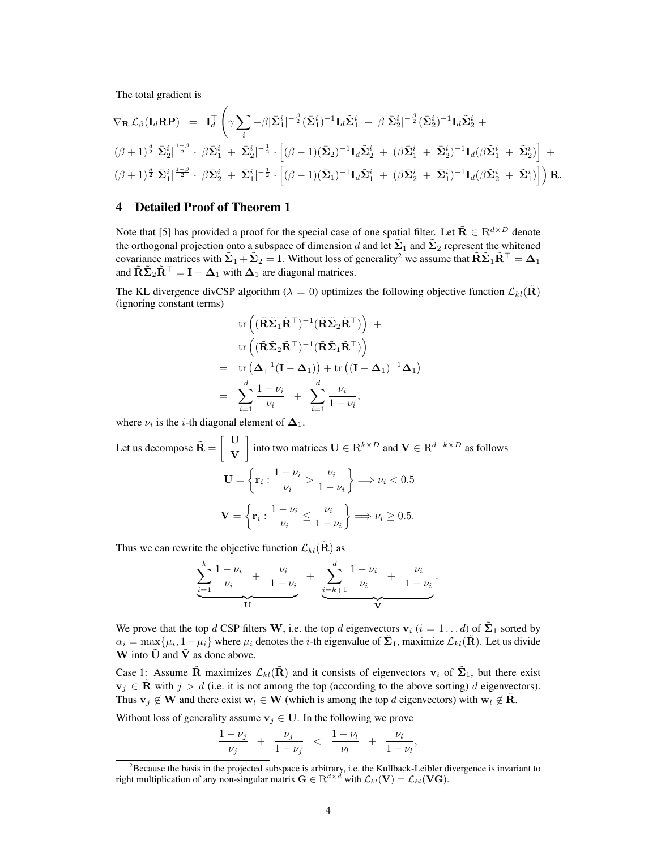The total gradient is

$$
\nabla_{\mathbf{R}} \mathcal{L}_{\beta}(\mathbf{I}_{d}\mathbf{R}\mathbf{P}) = \mathbf{I}_{d}^{\top} \left( \gamma \sum_{i} -\beta |\bar{\Sigma}_{1}^{i}|^{-\frac{\beta}{2}} (\bar{\Sigma}_{1}^{i})^{-1} \mathbf{I}_{d} \tilde{\Sigma}_{1}^{i} - \beta |\bar{\Sigma}_{2}^{i}|^{-\frac{\beta}{2}} (\bar{\Sigma}_{2}^{i})^{-1} \mathbf{I}_{d} \tilde{\Sigma}_{2}^{i} + ( \beta + 1)^{\frac{d}{2}} |\bar{\Sigma}_{2}^{i}|^{\frac{1-\beta}{2}} \cdot |\beta \bar{\Sigma}_{1}^{i} + \bar{\Sigma}_{2}^{i}|^{-\frac{1}{2}} \cdot [(\beta - 1)(\bar{\Sigma}_{2})^{-1} \mathbf{I}_{d} \tilde{\Sigma}_{2}^{i} + (\beta \bar{\Sigma}_{1}^{i} + \bar{\Sigma}_{2}^{i})^{-1} \mathbf{I}_{d} (\beta \tilde{\Sigma}_{1}^{i} + \tilde{\Sigma}_{2}^{i})] + (\beta + 1)^{\frac{d}{2}} |\bar{\Sigma}_{1}^{i}|^{\frac{1-\beta}{2}} \cdot |\beta \bar{\Sigma}_{2}^{i} + \bar{\Sigma}_{1}^{i}|^{-\frac{1}{2}} \cdot [(\beta - 1)(\bar{\Sigma}_{1})^{-1} \mathbf{I}_{d} \tilde{\Sigma}_{1}^{i} + (\beta \bar{\Sigma}_{2}^{i} + \bar{\Sigma}_{1}^{i})^{-1} \mathbf{I}_{d} (\beta \tilde{\Sigma}_{2}^{i} + \tilde{\Sigma}_{1}^{i})] \right) \mathbf{R}.
$$

### 4 Detailed Proof of Theorem 1

Note that [5] has provided a proof for the special case of one spatial filter. Let  $\tilde{\mathbf{R}} \in \mathbb{R}^{d \times D}$  denote the orthogonal projection onto a subspace of dimension d and let  $\tilde{\Sigma}_1$  and  $\tilde{\Sigma}_2$  represent the whitened covariance matrices with  $\tilde{\Sigma}_1+\tilde{\Sigma}_2=I$ . Without loss of generality<sup>2</sup> we assume that  $\tilde{\mathbf{R}}\tilde{\Sigma}_1\tilde{\mathbf{R}}^\top=\mathbf{\Delta}_1$ and  $\tilde{\mathbf{R}} \tilde{\mathbf{\Sigma}}_2 \tilde{\mathbf{R}}^{\top} = \mathbf{I} - \mathbf{\Delta}_1$  with  $\mathbf{\Delta}_1$  are diagonal matrices.

The KL divergence divCSP algorithm ( $\lambda = 0$ ) optimizes the following objective function  $\mathcal{L}_{kl}(\mathbf{R})$ (ignoring constant terms)

tr 
$$
(\tilde{\mathbf{R}}\tilde{\mathbf{\Sigma}}_1\tilde{\mathbf{R}}^{\top})^{-1}(\tilde{\mathbf{R}}\tilde{\mathbf{\Sigma}}_2\tilde{\mathbf{R}}^{\top}) +
$$
  
tr  $(\tilde{\mathbf{R}}\tilde{\mathbf{\Sigma}}_2\tilde{\mathbf{R}}^{\top})^{-1}(\tilde{\mathbf{R}}\tilde{\mathbf{\Sigma}}_1\tilde{\mathbf{R}}^{\top})$   
= tr  $(\Delta_1^{-1}(\mathbf{I} - \Delta_1)) +$ tr  $((\mathbf{I} - \Delta_1)^{-1}\Delta_1)$   
=  $\sum_{i=1}^d \frac{1 - \nu_i}{\nu_i} + \sum_{i=1}^d \frac{\nu_i}{1 - \nu_i}$ ,

where  $\nu_i$  is the *i*-th diagonal element of  $\Delta_1$ .

Let us decompose 
$$
\tilde{\mathbf{R}} = \begin{bmatrix} \mathbf{U} \\ \mathbf{V} \end{bmatrix}
$$
 into two matrices  $\mathbf{U} \in \mathbb{R}^{k \times D}$  and  $\mathbf{V} \in \mathbb{R}^{d-k \times D}$  as follows  
\n
$$
\mathbf{U} = \left\{ \mathbf{r}_i : \frac{1 - \nu_i}{\nu_i} > \frac{\nu_i}{1 - \nu_i} \right\} \Longrightarrow \nu_i < 0.5
$$
\n
$$
\mathbf{V} = \left\{ \mathbf{r}_i : \frac{1 - \nu_i}{\nu_i} \le \frac{\nu_i}{1 - \nu_i} \right\} \Longrightarrow \nu_i \ge 0.5.
$$

Thus we can rewrite the objective function  $\mathcal{L}_{kl}(\mathbf{R})$  as

$$
\underbrace{\sum_{i=1}^{k} \frac{1 - \nu_i}{\nu_i} + \frac{\nu_i}{1 - \nu_i}}_{\mathbf{U}} + \underbrace{\sum_{i=k+1}^{d} \frac{1 - \nu_i}{\nu_i} + \frac{\nu_i}{1 - \nu_i}}_{\mathbf{V}}.
$$

We prove that the top d CSP filters W, i.e. the top d eigenvectors  $v_i$   $(i = 1...d)$  of  $\tilde{\Sigma}_1$  sorted by  $\alpha_i = \max\{\mu_i, 1-\mu_i\}$  where  $\mu_i$  denotes the *i*-th eigenvalue of  $\tilde{\Sigma}_1$ , maximize  $\mathcal{L}_{kl}(\tilde{\mathbf{R}})$ . Let us divide W into  $\tilde{U}$  and  $\tilde{V}$  as done above.

Case 1: Assume  $\tilde{\bf R}$  maximizes  $\mathcal{L}_{kl}(\tilde{\bf R})$  and it consists of eigenvectors  ${\bf v}_i$  of  $\tilde{\bf \Sigma}_1$ , but there exist  $v_j \in \mathbf{R}$  with  $j > d$  (i.e. it is not among the top (according to the above sorting) d eigenvectors). Thus  $v_j \notin W$  and there exist  $w_l \in W$  (which is among the top d eigenvectors) with  $w_l \notin R$ .

Without loss of generality assume  $v_j \in U$ . In the following we prove

$$
\frac{1-\nu_j}{\nu_j} + \frac{\nu_j}{1-\nu_j} < \frac{1-\nu_l}{\nu_l} + \frac{\nu_l}{1-\nu_l},
$$

 ${}^{2}$ Because the basis in the projected subspace is arbitrary, i.e. the Kullback-Leibler divergence is invariant to right multiplication of any non-singular matrix  $\mathbf{G} \in \mathbb{R}^{d \times d}$  with  $\mathcal{L}_{kl}(\mathbf{V}) = \mathcal{L}_{kl}(\mathbf{VG})$ .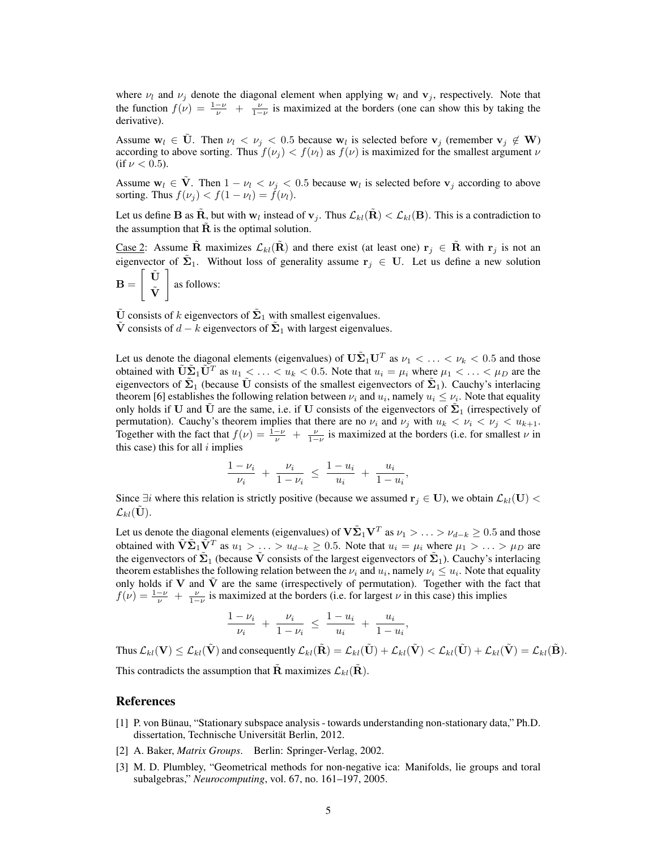where  $\nu_l$  and  $\nu_j$  denote the diagonal element when applying  $w_l$  and  $v_j$ , respectively. Note that the function  $f(v) = \frac{1-v}{v} + \frac{v}{1-v}$  is maximized at the borders (one can show this by taking the derivative).

Assume  $w_l \in \tilde{U}$ . Then  $\nu_l < \nu_j < 0.5$  because  $w_l$  is selected before  $v_j$  (remember  $v_j \notin W$ ) according to above sorting. Thus  $f(\nu_i) < f(\nu_i)$  as  $f(\nu)$  is maximized for the smallest argument  $\nu$ (if  $\nu < 0.5$ ).

Assume  $w_l \in \tilde{V}$ . Then  $1 - \nu_l < \nu_j < 0.5$  because  $w_l$  is selected before  $v_j$  according to above sorting. Thus  $f(\nu_i) < f(1 - \nu_l) = f(\nu_l)$ .

Let us define **B** as  $\tilde{\bf R}$ , but with  ${\bf w}_l$  instead of  ${\bf v}_j$ . Thus  $\mathcal{L}_{kl}(\tilde{\bf R}) < \mathcal{L}_{kl}({\bf B})$ . This is a contradiction to the assumption that  $\hat{\mathbf{R}}$  is the optimal solution.

Case 2: Assume R maximizes  $\mathcal{L}_{kl}(\mathbf{R})$  and there exist (at least one)  $\mathbf{r}_i \in \mathbf{R}$  with  $\mathbf{r}_i$  is not an eigenvector of  $\tilde{\Sigma}_1$ . Without loss of generality assume  $r_j \in U$ . Let us define a new solution  $\lceil \tilde{\mathbf{U}} \rceil$ 

$$
\mathbf{B} = \left[ \begin{array}{c} \mathbf{C} \\ \tilde{\mathbf{V}} \end{array} \right]
$$
 as follows:

 $\tilde{U}$  consists of k eigenvectors of  $\tilde{\Sigma}_1$  with smallest eigenvalues.

 $\tilde{\mathbf{V}}$  consists of  $d - k$  eigenvectors of  $\tilde{\mathbf{\Sigma}}_1$  with largest eigenvalues.

Let us denote the diagonal elements (eigenvalues) of  $\mathbf{U}\tilde{\mathbf{\Sigma}}_1\mathbf{U}^T$  as  $\nu_1 < \ldots < \nu_k < 0.5$  and those obtained with  $\tilde{\mathbf{U}}\tilde{\mathbf{\Sigma}}_1\tilde{\mathbf{U}}^T$  as  $u_1 < \ldots < u_k < 0.5$ . Note that  $u_i = \mu_i$  where  $\mu_1 < \ldots < \mu_D$  are the eigenvectors of  $\tilde{\Sigma}_1$  (because  $\tilde{U}$  consists of the smallest eigenvectors of  $\tilde{\Sigma}_1$ ). Cauchy's interlacing theorem [6] establishes the following relation between  $\nu_i$  and  $u_i$ , namely  $u_i \leq \nu_i$ . Note that equality only holds if U and  $\tilde{U}$  are the same, i.e. if U consists of the eigenvectors of  $\tilde{\Sigma}_1$  (irrespectively of permutation). Cauchy's theorem implies that there are no  $\nu_i$  and  $\nu_j$  with  $u_k < \nu_i < \nu_j < u_{k+1}$ . Together with the fact that  $f(\nu) = \frac{1-\nu}{\nu} + \frac{\nu}{1-\nu}$  is maximized at the borders (i.e. for smallest  $\nu$  in this case) this for all  $i$  implies

$$
\frac{1-\nu_i}{\nu_i} + \frac{\nu_i}{1-\nu_i} \le \frac{1-u_i}{u_i} + \frac{u_i}{1-u_i},
$$

Since  $\exists i$  where this relation is strictly positive (because we assumed  $\mathbf{r}_i \in \mathbf{U}$ ), we obtain  $\mathcal{L}_{kl}(\mathbf{U})$  <  $\mathcal{L}_{kl}(\mathbf{U}).$ 

Let us denote the diagonal elements (eigenvalues) of  $V\tilde{\Sigma}_1V^T$  as  $\nu_1>\ldots>\nu_{d-k}\geq 0.5$  and those obtained with  $\tilde{\bf V} \tilde{\bf \Sigma}_1 \tilde{\bf V}^T$  as  $u_1 > \ldots > u_{d-k} \ge 0.5$ . Note that  $u_i = \mu_i$  where  $\mu_1 > \ldots > \mu_D$  are the eigenvectors of  $\tilde{\Sigma}_1$  (because  $\tilde{V}$  consists of the largest eigenvectors of  $\tilde{\Sigma}_1$ ). Cauchy's interlacing theorem establishes the following relation between the  $\nu_i$  and  $u_i$ , namely  $\nu_i \leq u_i$ . Note that equality only holds if V and  $\tilde{V}$  are the same (irrespectively of permutation). Together with the fact that  $f(v) = \frac{1-v}{v} + \frac{v}{1-v}$  is maximized at the borders (i.e. for largest v in this case) this implies

$$
\frac{1-\nu_i}{\nu_i} + \frac{\nu_i}{1-\nu_i} \le \frac{1-u_i}{u_i} + \frac{u_i}{1-u_i},
$$

Thus  $\mathcal{L}_{kl}(\tilde{\mathbf{V}}) \leq \mathcal{L}_{kl}(\tilde{\mathbf{V}})$  and consequently  $\mathcal{L}_{kl}(\tilde{\mathbf{R}}) = \mathcal{L}_{kl}(\tilde{\mathbf{U}}) + \mathcal{L}_{kl}(\tilde{\mathbf{V}}) < \mathcal{L}_{kl}(\tilde{\mathbf{U}}) + \mathcal{L}_{kl}(\tilde{\mathbf{V}}) = \mathcal{L}_{kl}(\tilde{\mathbf{B}})$ . This contradicts the assumption that **R** maximizes  $\mathcal{L}_{kl}(\mathbf{R})$ .

### References

- [1] P. von Bünau, "Stationary subspace analysis towards understanding non-stationary data," Ph.D. dissertation, Technische Universität Berlin, 2012.
- [2] A. Baker, *Matrix Groups*. Berlin: Springer-Verlag, 2002.
- [3] M. D. Plumbley, "Geometrical methods for non-negative ica: Manifolds, lie groups and toral subalgebras," *Neurocomputing*, vol. 67, no. 161–197, 2005.